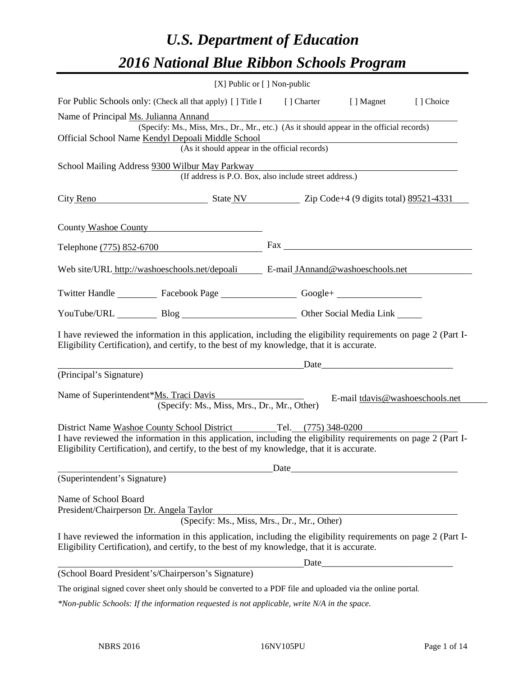# *U.S. Department of Education 2016 National Blue Ribbon Schools Program*

|                                         | [X] Public or [] Non-public                                                                                                                                                                                  |                                                                                                                                                                                                                                |                                                                                                                                                                                                                               |           |
|-----------------------------------------|--------------------------------------------------------------------------------------------------------------------------------------------------------------------------------------------------------------|--------------------------------------------------------------------------------------------------------------------------------------------------------------------------------------------------------------------------------|-------------------------------------------------------------------------------------------------------------------------------------------------------------------------------------------------------------------------------|-----------|
|                                         | For Public Schools only: (Check all that apply) [] Title I [] Charter [] Magnet                                                                                                                              |                                                                                                                                                                                                                                |                                                                                                                                                                                                                               | [] Choice |
| Name of Principal Ms. Julianna Annand   |                                                                                                                                                                                                              |                                                                                                                                                                                                                                |                                                                                                                                                                                                                               |           |
|                                         | (Specify: Ms., Miss, Mrs., Dr., Mr., etc.) (As it should appear in the official records)                                                                                                                     |                                                                                                                                                                                                                                |                                                                                                                                                                                                                               |           |
|                                         | Official School Name Kendyl Depoali Middle School<br>(As it should appear in the official records)                                                                                                           |                                                                                                                                                                                                                                |                                                                                                                                                                                                                               |           |
|                                         |                                                                                                                                                                                                              |                                                                                                                                                                                                                                |                                                                                                                                                                                                                               |           |
|                                         | School Mailing Address 9300 Wilbur May Parkway<br>(If address is P.O. Box, also include street address.)                                                                                                     |                                                                                                                                                                                                                                |                                                                                                                                                                                                                               |           |
|                                         |                                                                                                                                                                                                              |                                                                                                                                                                                                                                |                                                                                                                                                                                                                               |           |
|                                         | City Reno<br>State NV Zip Code+4 (9 digits total) 89521-4331                                                                                                                                                 |                                                                                                                                                                                                                                |                                                                                                                                                                                                                               |           |
|                                         | County Washoe County                                                                                                                                                                                         |                                                                                                                                                                                                                                |                                                                                                                                                                                                                               |           |
|                                         | Telephone (775) 852-6700                                                                                                                                                                                     | Fax The Communication of the Communication of the Communication of the Communication of the Communication of the Communication of the Communication of the Communication of the Communication of the Communication of the Comm |                                                                                                                                                                                                                               |           |
|                                         | Web site/URL http://washoeschools.net/depoali E-mail JAnnand@washoeschools.net                                                                                                                               |                                                                                                                                                                                                                                |                                                                                                                                                                                                                               |           |
|                                         | Twitter Handle ____________ Facebook Page _____________________ Google+ ____________________________                                                                                                         |                                                                                                                                                                                                                                |                                                                                                                                                                                                                               |           |
|                                         | YouTube/URL Blog Blog Cher Social Media Link                                                                                                                                                                 |                                                                                                                                                                                                                                |                                                                                                                                                                                                                               |           |
|                                         | I have reviewed the information in this application, including the eligibility requirements on page 2 (Part I-<br>Eligibility Certification), and certify, to the best of my knowledge, that it is accurate. |                                                                                                                                                                                                                                |                                                                                                                                                                                                                               |           |
|                                         |                                                                                                                                                                                                              |                                                                                                                                                                                                                                | Date and the same state of the state of the state of the state of the state of the state of the state of the state of the state of the state of the state of the state of the state of the state of the state of the state of |           |
| (Principal's Signature)                 |                                                                                                                                                                                                              |                                                                                                                                                                                                                                |                                                                                                                                                                                                                               |           |
|                                         | Name of Superintendent*Ms. Traci Davis<br>(Specify: Ms., Miss, Mrs., Dr., Mr., Other)                                                                                                                        |                                                                                                                                                                                                                                | E-mail tdavis@washoeschools.net                                                                                                                                                                                               |           |
|                                         | District Name Washoe County School District Tel. (775) 348-0200                                                                                                                                              |                                                                                                                                                                                                                                |                                                                                                                                                                                                                               |           |
|                                         | I have reviewed the information in this application, including the eligibility requirements on page 2 (Part I-<br>Eligibility Certification), and certify, to the best of my knowledge, that it is accurate. |                                                                                                                                                                                                                                |                                                                                                                                                                                                                               |           |
|                                         |                                                                                                                                                                                                              |                                                                                                                                                                                                                                | Date                                                                                                                                                                                                                          |           |
| (Superintendent's Signature)            |                                                                                                                                                                                                              |                                                                                                                                                                                                                                |                                                                                                                                                                                                                               |           |
| Name of School Board                    |                                                                                                                                                                                                              |                                                                                                                                                                                                                                |                                                                                                                                                                                                                               |           |
| President/Chairperson Dr. Angela Taylor |                                                                                                                                                                                                              |                                                                                                                                                                                                                                |                                                                                                                                                                                                                               |           |
|                                         | (Specify: Ms., Miss, Mrs., Dr., Mr., Other)                                                                                                                                                                  |                                                                                                                                                                                                                                |                                                                                                                                                                                                                               |           |
|                                         | I have reviewed the information in this application, including the eligibility requirements on page 2 (Part I-<br>Eligibility Certification), and certify, to the best of my knowledge, that it is accurate. |                                                                                                                                                                                                                                |                                                                                                                                                                                                                               |           |
|                                         |                                                                                                                                                                                                              |                                                                                                                                                                                                                                |                                                                                                                                                                                                                               |           |
|                                         | (School Board President's/Chairperson's Signature)                                                                                                                                                           |                                                                                                                                                                                                                                |                                                                                                                                                                                                                               |           |
|                                         | The original signed cover sheet only should be converted to a PDF file and uploaded via the online portal.                                                                                                   |                                                                                                                                                                                                                                |                                                                                                                                                                                                                               |           |

*\*Non-public Schools: If the information requested is not applicable, write N/A in the space.*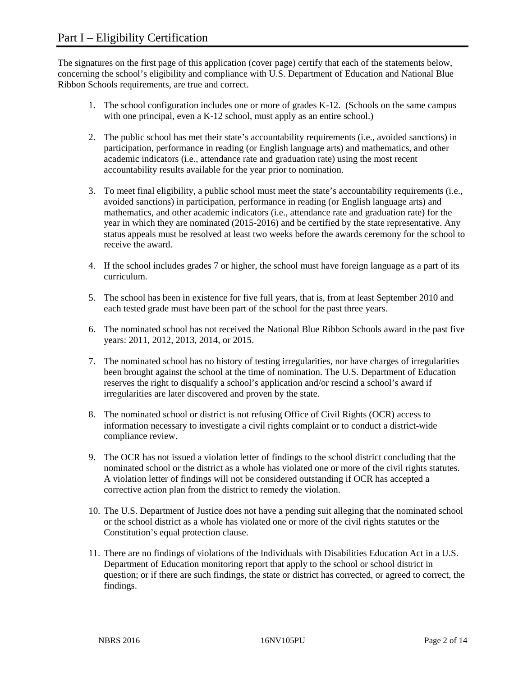The signatures on the first page of this application (cover page) certify that each of the statements below, concerning the school's eligibility and compliance with U.S. Department of Education and National Blue Ribbon Schools requirements, are true and correct.

- 1. The school configuration includes one or more of grades K-12. (Schools on the same campus with one principal, even a K-12 school, must apply as an entire school.)
- 2. The public school has met their state's accountability requirements (i.e., avoided sanctions) in participation, performance in reading (or English language arts) and mathematics, and other academic indicators (i.e., attendance rate and graduation rate) using the most recent accountability results available for the year prior to nomination.
- 3. To meet final eligibility, a public school must meet the state's accountability requirements (i.e., avoided sanctions) in participation, performance in reading (or English language arts) and mathematics, and other academic indicators (i.e., attendance rate and graduation rate) for the year in which they are nominated (2015-2016) and be certified by the state representative. Any status appeals must be resolved at least two weeks before the awards ceremony for the school to receive the award.
- 4. If the school includes grades 7 or higher, the school must have foreign language as a part of its curriculum.
- 5. The school has been in existence for five full years, that is, from at least September 2010 and each tested grade must have been part of the school for the past three years.
- 6. The nominated school has not received the National Blue Ribbon Schools award in the past five years: 2011, 2012, 2013, 2014, or 2015.
- 7. The nominated school has no history of testing irregularities, nor have charges of irregularities been brought against the school at the time of nomination. The U.S. Department of Education reserves the right to disqualify a school's application and/or rescind a school's award if irregularities are later discovered and proven by the state.
- 8. The nominated school or district is not refusing Office of Civil Rights (OCR) access to information necessary to investigate a civil rights complaint or to conduct a district-wide compliance review.
- 9. The OCR has not issued a violation letter of findings to the school district concluding that the nominated school or the district as a whole has violated one or more of the civil rights statutes. A violation letter of findings will not be considered outstanding if OCR has accepted a corrective action plan from the district to remedy the violation.
- 10. The U.S. Department of Justice does not have a pending suit alleging that the nominated school or the school district as a whole has violated one or more of the civil rights statutes or the Constitution's equal protection clause.
- 11. There are no findings of violations of the Individuals with Disabilities Education Act in a U.S. Department of Education monitoring report that apply to the school or school district in question; or if there are such findings, the state or district has corrected, or agreed to correct, the findings.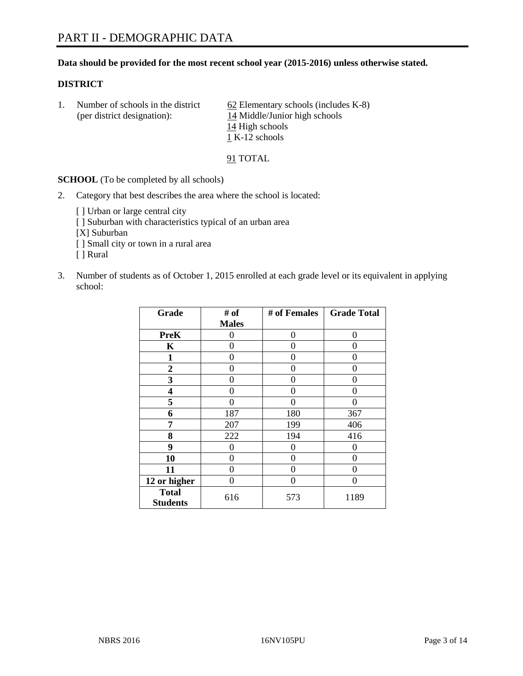#### **Data should be provided for the most recent school year (2015-2016) unless otherwise stated.**

#### **DISTRICT**

1. Number of schools in the district  $62$  Elementary schools (includes K-8) (per district designation): 14 Middle/Junior high schools 14 High schools  $\overline{1}$  K-12 schools

91 TOTAL

**SCHOOL** (To be completed by all schools)

- 2. Category that best describes the area where the school is located:
	- [] Urban or large central city [ ] Suburban with characteristics typical of an urban area [X] Suburban [ ] Small city or town in a rural area [ ] Rural
- 3. Number of students as of October 1, 2015 enrolled at each grade level or its equivalent in applying school:

| Grade                           | # of         | # of Females | <b>Grade Total</b> |
|---------------------------------|--------------|--------------|--------------------|
|                                 | <b>Males</b> |              |                    |
| <b>PreK</b>                     | 0            | 0            | 0                  |
| K                               | 0            | 0            | 0                  |
| 1                               | 0            | 0            | 0                  |
| $\overline{2}$                  | 0            | 0            | 0                  |
| 3                               | 0            | 0            | 0                  |
| 4                               | 0            | 0            | $\mathbf{\Omega}$  |
| 5                               | 0            | 0            | 0                  |
| 6                               | 187          | 180          | 367                |
| 7                               | 207          | 199          | 406                |
| 8                               | 222          | 194          | 416                |
| 9                               | 0            | 0            | 0                  |
| 10                              | 0            | 0            | $\theta$           |
| 11                              | 0            | 0            | $\mathbf{\Omega}$  |
| 12 or higher                    | 0            | 0            | 0                  |
| <b>Total</b><br><b>Students</b> | 616          | 573          | 1189               |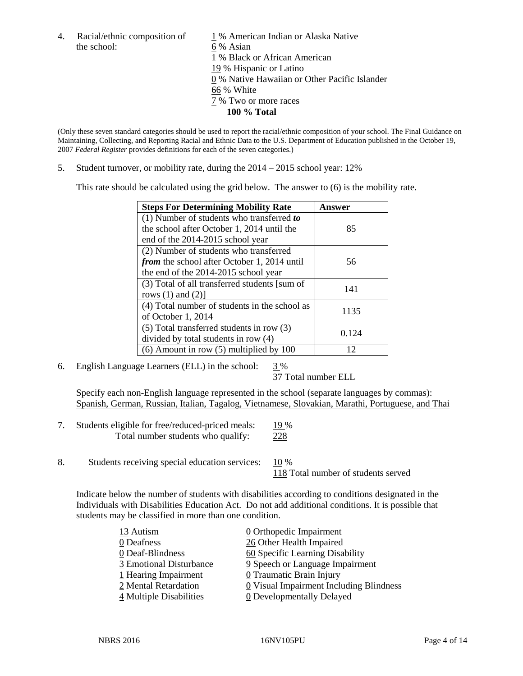the school: 6 % Asian

4. Racial/ethnic composition of  $1\%$  American Indian or Alaska Native 1 % Black or African American 19 % Hispanic or Latino 0 % Native Hawaiian or Other Pacific Islander 66 % White 7 % Two or more races **100 % Total**

(Only these seven standard categories should be used to report the racial/ethnic composition of your school. The Final Guidance on Maintaining, Collecting, and Reporting Racial and Ethnic Data to the U.S. Department of Education published in the October 19, 2007 *Federal Register* provides definitions for each of the seven categories.)

5. Student turnover, or mobility rate, during the 2014 – 2015 school year: 12%

This rate should be calculated using the grid below. The answer to (6) is the mobility rate.

| <b>Steps For Determining Mobility Rate</b>         | Answer |
|----------------------------------------------------|--------|
| (1) Number of students who transferred to          |        |
| the school after October 1, 2014 until the         | 85     |
| end of the 2014-2015 school year                   |        |
| (2) Number of students who transferred             |        |
| <i>from</i> the school after October 1, 2014 until | 56     |
| the end of the 2014-2015 school year               |        |
| (3) Total of all transferred students [sum of      | 141    |
| rows $(1)$ and $(2)$ ]                             |        |
| (4) Total number of students in the school as      | 1135   |
| of October 1, 2014                                 |        |
| (5) Total transferred students in row (3)          | 0.124  |
| divided by total students in row (4)               |        |
| $(6)$ Amount in row $(5)$ multiplied by 100        | 12     |

6. English Language Learners (ELL) in the school:  $3\%$ 

37 Total number ELL

Specify each non-English language represented in the school (separate languages by commas): Spanish, German, Russian, Italian, Tagalog, Vietnamese, Slovakian, Marathi, Portuguese, and Thai

| Students eligible for free/reduced-priced meals: | 19 % |
|--------------------------------------------------|------|
| Total number students who qualify:               | 228  |

8. Students receiving special education services: 10 %

118 Total number of students served

Indicate below the number of students with disabilities according to conditions designated in the Individuals with Disabilities Education Act. Do not add additional conditions. It is possible that students may be classified in more than one condition.

| 13 Autism               | 0 Orthopedic Impairment                 |
|-------------------------|-----------------------------------------|
| 0 Deafness              | 26 Other Health Impaired                |
| 0 Deaf-Blindness        | 60 Specific Learning Disability         |
| 3 Emotional Disturbance | 9 Speech or Language Impairment         |
| 1 Hearing Impairment    | 0 Traumatic Brain Injury                |
| 2 Mental Retardation    | 0 Visual Impairment Including Blindness |
| 4 Multiple Disabilities | <b>0</b> Developmentally Delayed        |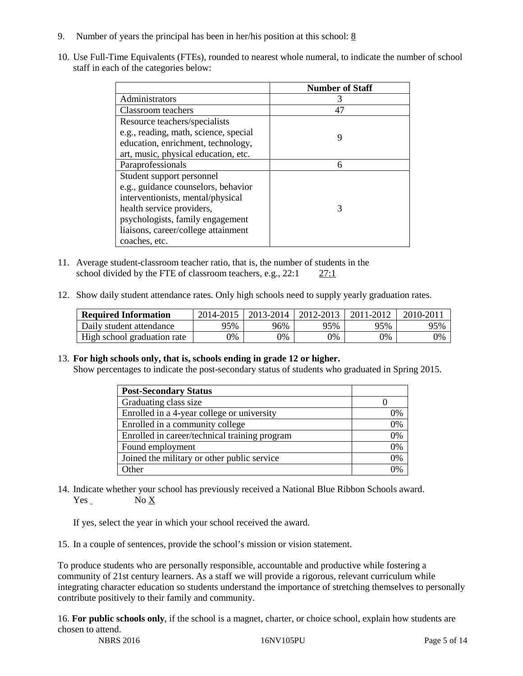- 9. Number of years the principal has been in her/his position at this school:  $8$
- 10. Use Full-Time Equivalents (FTEs), rounded to nearest whole numeral, to indicate the number of school staff in each of the categories below:

|                                       | <b>Number of Staff</b> |
|---------------------------------------|------------------------|
| Administrators                        | З                      |
| Classroom teachers                    | 47                     |
| Resource teachers/specialists         |                        |
| e.g., reading, math, science, special | 9                      |
| education, enrichment, technology,    |                        |
| art, music, physical education, etc.  |                        |
| Paraprofessionals                     | 6                      |
| Student support personnel             |                        |
| e.g., guidance counselors, behavior   |                        |
| interventionists, mental/physical     |                        |
| health service providers,             | 3                      |
| psychologists, family engagement      |                        |
| liaisons, career/college attainment   |                        |
| coaches, etc.                         |                        |

- 11. Average student-classroom teacher ratio, that is, the number of students in the school divided by the FTE of classroom teachers, e.g., 22:1 27:1
- 12. Show daily student attendance rates. Only high schools need to supply yearly graduation rates.

| <b>Required Information</b> | 2014-2015 | 2013-2014 | 2012-2013 | 2011-2012 | 2010-2011 |
|-----------------------------|-----------|-----------|-----------|-----------|-----------|
| Daily student attendance    | 95%       | 96%       | 95%       | 95%       | 95%       |
| High school graduation rate | 9%        | 0%        | 0%        | 9%        | 0%        |

13. **For high schools only, that is, schools ending in grade 12 or higher.** 

Show percentages to indicate the post-secondary status of students who graduated in Spring 2015.

| <b>Post-Secondary Status</b>                  |    |
|-----------------------------------------------|----|
| Graduating class size                         |    |
| Enrolled in a 4-year college or university    | 0% |
| Enrolled in a community college               | 0% |
| Enrolled in career/technical training program | 0% |
| Found employment                              | 0% |
| Joined the military or other public service   | 0% |
| Other                                         | ገ% |

14. Indicate whether your school has previously received a National Blue Ribbon Schools award. Yes No X

If yes, select the year in which your school received the award.

15. In a couple of sentences, provide the school's mission or vision statement.

To produce students who are personally responsible, accountable and productive while fostering a community of 21st century learners. As a staff we will provide a rigorous, relevant curriculum while integrating character education so students understand the importance of stretching themselves to personally contribute positively to their family and community.

NBRS 2016 16NV105PU Page 5 of 14 16. **For public schools only**, if the school is a magnet, charter, or choice school, explain how students are chosen to attend.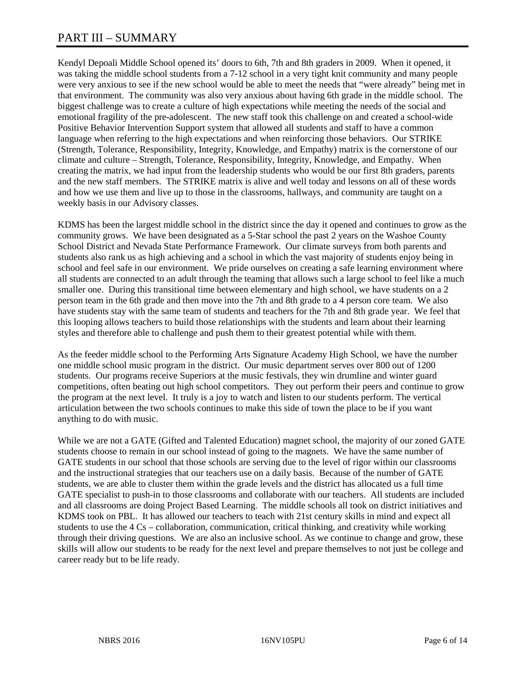# PART III – SUMMARY

Kendyl Depoali Middle School opened its' doors to 6th, 7th and 8th graders in 2009. When it opened, it was taking the middle school students from a 7-12 school in a very tight knit community and many people were very anxious to see if the new school would be able to meet the needs that "were already" being met in that environment. The community was also very anxious about having 6th grade in the middle school. The biggest challenge was to create a culture of high expectations while meeting the needs of the social and emotional fragility of the pre-adolescent. The new staff took this challenge on and created a school-wide Positive Behavior Intervention Support system that allowed all students and staff to have a common language when referring to the high expectations and when reinforcing those behaviors. Our STRIKE (Strength, Tolerance, Responsibility, Integrity, Knowledge, and Empathy) matrix is the cornerstone of our climate and culture – Strength, Tolerance, Responsibility, Integrity, Knowledge, and Empathy. When creating the matrix, we had input from the leadership students who would be our first 8th graders, parents and the new staff members. The STRIKE matrix is alive and well today and lessons on all of these words and how we use them and live up to those in the classrooms, hallways, and community are taught on a weekly basis in our Advisory classes.

KDMS has been the largest middle school in the district since the day it opened and continues to grow as the community grows. We have been designated as a 5-Star school the past 2 years on the Washoe County School District and Nevada State Performance Framework. Our climate surveys from both parents and students also rank us as high achieving and a school in which the vast majority of students enjoy being in school and feel safe in our environment. We pride ourselves on creating a safe learning environment where all students are connected to an adult through the teaming that allows such a large school to feel like a much smaller one. During this transitional time between elementary and high school, we have students on a 2 person team in the 6th grade and then move into the 7th and 8th grade to a 4 person core team. We also have students stay with the same team of students and teachers for the 7th and 8th grade year. We feel that this looping allows teachers to build those relationships with the students and learn about their learning styles and therefore able to challenge and push them to their greatest potential while with them.

As the feeder middle school to the Performing Arts Signature Academy High School, we have the number one middle school music program in the district. Our music department serves over 800 out of 1200 students. Our programs receive Superiors at the music festivals, they win drumline and winter guard competitions, often beating out high school competitors. They out perform their peers and continue to grow the program at the next level. It truly is a joy to watch and listen to our students perform. The vertical articulation between the two schools continues to make this side of town the place to be if you want anything to do with music.

While we are not a GATE (Gifted and Talented Education) magnet school, the majority of our zoned GATE students choose to remain in our school instead of going to the magnets. We have the same number of GATE students in our school that those schools are serving due to the level of rigor within our classrooms and the instructional strategies that our teachers use on a daily basis. Because of the number of GATE students, we are able to cluster them within the grade levels and the district has allocated us a full time GATE specialist to push-in to those classrooms and collaborate with our teachers. All students are included and all classrooms are doing Project Based Learning. The middle schools all took on district initiatives and KDMS took on PBL. It has allowed our teachers to teach with 21st century skills in mind and expect all students to use the 4 Cs – collaboration, communication, critical thinking, and creativity while working through their driving questions. We are also an inclusive school. As we continue to change and grow, these skills will allow our students to be ready for the next level and prepare themselves to not just be college and career ready but to be life ready.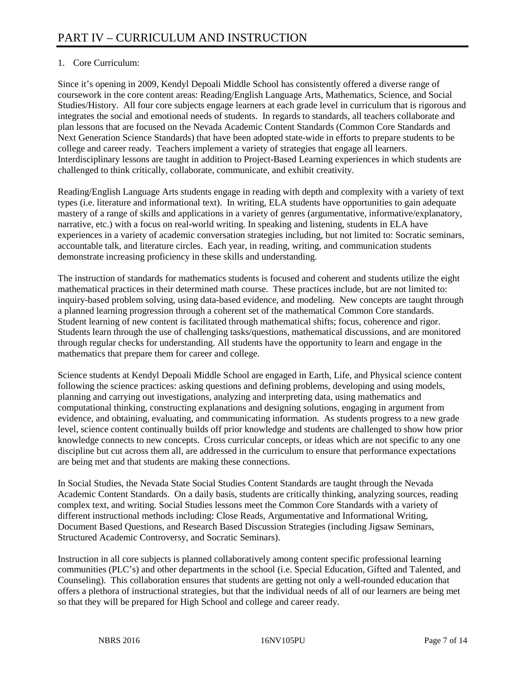# 1. Core Curriculum:

Since it's opening in 2009, Kendyl Depoali Middle School has consistently offered a diverse range of coursework in the core content areas: Reading/English Language Arts, Mathematics, Science, and Social Studies/History. All four core subjects engage learners at each grade level in curriculum that is rigorous and integrates the social and emotional needs of students. In regards to standards, all teachers collaborate and plan lessons that are focused on the Nevada Academic Content Standards (Common Core Standards and Next Generation Science Standards) that have been adopted state-wide in efforts to prepare students to be college and career ready. Teachers implement a variety of strategies that engage all learners. Interdisciplinary lessons are taught in addition to Project-Based Learning experiences in which students are challenged to think critically, collaborate, communicate, and exhibit creativity.

Reading/English Language Arts students engage in reading with depth and complexity with a variety of text types (i.e. literature and informational text). In writing, ELA students have opportunities to gain adequate mastery of a range of skills and applications in a variety of genres (argumentative, informative/explanatory, narrative, etc.) with a focus on real-world writing. In speaking and listening, students in ELA have experiences in a variety of academic conversation strategies including, but not limited to: Socratic seminars, accountable talk, and literature circles. Each year, in reading, writing, and communication students demonstrate increasing proficiency in these skills and understanding.

The instruction of standards for mathematics students is focused and coherent and students utilize the eight mathematical practices in their determined math course. These practices include, but are not limited to: inquiry-based problem solving, using data-based evidence, and modeling. New concepts are taught through a planned learning progression through a coherent set of the mathematical Common Core standards. Student learning of new content is facilitated through mathematical shifts; focus, coherence and rigor. Students learn through the use of challenging tasks/questions, mathematical discussions, and are monitored through regular checks for understanding. All students have the opportunity to learn and engage in the mathematics that prepare them for career and college.

Science students at Kendyl Depoali Middle School are engaged in Earth, Life, and Physical science content following the science practices: asking questions and defining problems, developing and using models, planning and carrying out investigations, analyzing and interpreting data, using mathematics and computational thinking, constructing explanations and designing solutions, engaging in argument from evidence, and obtaining, evaluating, and communicating information. As students progress to a new grade level, science content continually builds off prior knowledge and students are challenged to show how prior knowledge connects to new concepts. Cross curricular concepts, or ideas which are not specific to any one discipline but cut across them all, are addressed in the curriculum to ensure that performance expectations are being met and that students are making these connections.

In Social Studies, the Nevada State Social Studies Content Standards are taught through the Nevada Academic Content Standards. On a daily basis, students are critically thinking, analyzing sources, reading complex text, and writing. Social Studies lessons meet the Common Core Standards with a variety of different instructional methods including: Close Reads, Argumentative and Informational Writing, Document Based Questions, and Research Based Discussion Strategies (including Jigsaw Seminars, Structured Academic Controversy, and Socratic Seminars).

Instruction in all core subjects is planned collaboratively among content specific professional learning communities (PLC's) and other departments in the school (i.e. Special Education, Gifted and Talented, and Counseling). This collaboration ensures that students are getting not only a well-rounded education that offers a plethora of instructional strategies, but that the individual needs of all of our learners are being met so that they will be prepared for High School and college and career ready.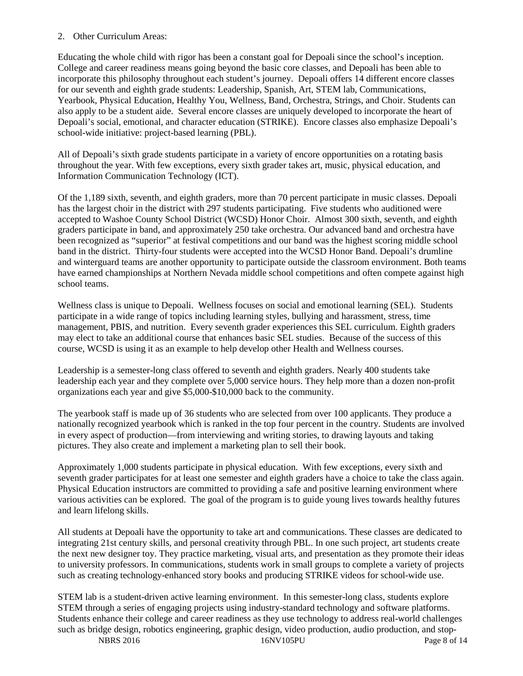#### 2. Other Curriculum Areas:

Educating the whole child with rigor has been a constant goal for Depoali since the school's inception. College and career readiness means going beyond the basic core classes, and Depoali has been able to incorporate this philosophy throughout each student's journey. Depoali offers 14 different encore classes for our seventh and eighth grade students: Leadership, Spanish, Art, STEM lab, Communications, Yearbook, Physical Education, Healthy You, Wellness, Band, Orchestra, Strings, and Choir. Students can also apply to be a student aide. Several encore classes are uniquely developed to incorporate the heart of Depoali's social, emotional, and character education (STRIKE). Encore classes also emphasize Depoali's school-wide initiative: project-based learning (PBL).

All of Depoali's sixth grade students participate in a variety of encore opportunities on a rotating basis throughout the year. With few exceptions, every sixth grader takes art, music, physical education, and Information Communication Technology (ICT).

Of the 1,189 sixth, seventh, and eighth graders, more than 70 percent participate in music classes. Depoali has the largest choir in the district with 297 students participating. Five students who auditioned were accepted to Washoe County School District (WCSD) Honor Choir. Almost 300 sixth, seventh, and eighth graders participate in band, and approximately 250 take orchestra. Our advanced band and orchestra have been recognized as "superior" at festival competitions and our band was the highest scoring middle school band in the district. Thirty-four students were accepted into the WCSD Honor Band. Depoali's drumline and winterguard teams are another opportunity to participate outside the classroom environment. Both teams have earned championships at Northern Nevada middle school competitions and often compete against high school teams.

Wellness class is unique to Depoali. Wellness focuses on social and emotional learning (SEL). Students participate in a wide range of topics including learning styles, bullying and harassment, stress, time management, PBIS, and nutrition. Every seventh grader experiences this SEL curriculum. Eighth graders may elect to take an additional course that enhances basic SEL studies. Because of the success of this course, WCSD is using it as an example to help develop other Health and Wellness courses.

Leadership is a semester-long class offered to seventh and eighth graders. Nearly 400 students take leadership each year and they complete over 5,000 service hours. They help more than a dozen non-profit organizations each year and give \$5,000-\$10,000 back to the community.

The yearbook staff is made up of 36 students who are selected from over 100 applicants. They produce a nationally recognized yearbook which is ranked in the top four percent in the country. Students are involved in every aspect of production—from interviewing and writing stories, to drawing layouts and taking pictures. They also create and implement a marketing plan to sell their book.

Approximately 1,000 students participate in physical education. With few exceptions, every sixth and seventh grader participates for at least one semester and eighth graders have a choice to take the class again. Physical Education instructors are committed to providing a safe and positive learning environment where various activities can be explored. The goal of the program is to guide young lives towards healthy futures and learn lifelong skills.

All students at Depoali have the opportunity to take art and communications. These classes are dedicated to integrating 21st century skills, and personal creativity through PBL. In one such project, art students create the next new designer toy. They practice marketing, visual arts, and presentation as they promote their ideas to university professors. In communications, students work in small groups to complete a variety of projects such as creating technology-enhanced story books and producing STRIKE videos for school-wide use.

STEM lab is a student-driven active learning environment. In this semester-long class, students explore STEM through a series of engaging projects using industry-standard technology and software platforms. Students enhance their college and career readiness as they use technology to address real-world challenges such as bridge design, robotics engineering, graphic design, video production, audio production, and stop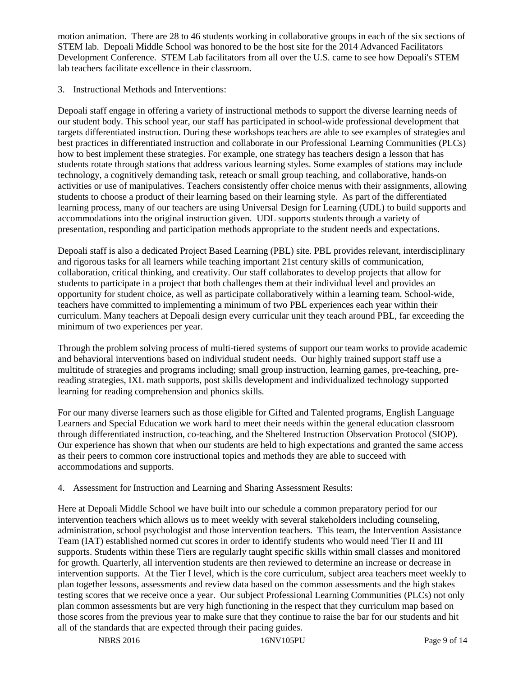motion animation. There are 28 to 46 students working in collaborative groups in each of the six sections of STEM lab. Depoali Middle School was honored to be the host site for the 2014 Advanced Facilitators Development Conference. STEM Lab facilitators from all over the U.S. came to see how Depoali's STEM lab teachers facilitate excellence in their classroom.

3. Instructional Methods and Interventions:

Depoali staff engage in offering a variety of instructional methods to support the diverse learning needs of our student body. This school year, our staff has participated in school-wide professional development that targets differentiated instruction. During these workshops teachers are able to see examples of strategies and best practices in differentiated instruction and collaborate in our Professional Learning Communities (PLCs) how to best implement these strategies. For example, one strategy has teachers design a lesson that has students rotate through stations that address various learning styles. Some examples of stations may include technology, a cognitively demanding task, reteach or small group teaching, and collaborative, hands-on activities or use of manipulatives. Teachers consistently offer choice menus with their assignments, allowing students to choose a product of their learning based on their learning style. As part of the differentiated learning process, many of our teachers are using Universal Design for Learning (UDL) to build supports and accommodations into the original instruction given. UDL supports students through a variety of presentation, responding and participation methods appropriate to the student needs and expectations.

Depoali staff is also a dedicated Project Based Learning (PBL) site. PBL provides relevant, interdisciplinary and rigorous tasks for all learners while teaching important 21st century skills of communication, collaboration, critical thinking, and creativity. Our staff collaborates to develop projects that allow for students to participate in a project that both challenges them at their individual level and provides an opportunity for student choice, as well as participate collaboratively within a learning team. School-wide, teachers have committed to implementing a minimum of two PBL experiences each year within their curriculum. Many teachers at Depoali design every curricular unit they teach around PBL, far exceeding the minimum of two experiences per year.

Through the problem solving process of multi-tiered systems of support our team works to provide academic and behavioral interventions based on individual student needs. Our highly trained support staff use a multitude of strategies and programs including; small group instruction, learning games, pre-teaching, prereading strategies, IXL math supports, post skills development and individualized technology supported learning for reading comprehension and phonics skills.

For our many diverse learners such as those eligible for Gifted and Talented programs, English Language Learners and Special Education we work hard to meet their needs within the general education classroom through differentiated instruction, co-teaching, and the Sheltered Instruction Observation Protocol (SIOP). Our experience has shown that when our students are held to high expectations and granted the same access as their peers to common core instructional topics and methods they are able to succeed with accommodations and supports.

## 4. Assessment for Instruction and Learning and Sharing Assessment Results:

Here at Depoali Middle School we have built into our schedule a common preparatory period for our intervention teachers which allows us to meet weekly with several stakeholders including counseling, administration, school psychologist and those intervention teachers. This team, the Intervention Assistance Team (IAT) established normed cut scores in order to identify students who would need Tier II and III supports. Students within these Tiers are regularly taught specific skills within small classes and monitored for growth. Quarterly, all intervention students are then reviewed to determine an increase or decrease in intervention supports. At the Tier I level, which is the core curriculum, subject area teachers meet weekly to plan together lessons, assessments and review data based on the common assessments and the high stakes testing scores that we receive once a year. Our subject Professional Learning Communities (PLCs) not only plan common assessments but are very high functioning in the respect that they curriculum map based on those scores from the previous year to make sure that they continue to raise the bar for our students and hit all of the standards that are expected through their pacing guides.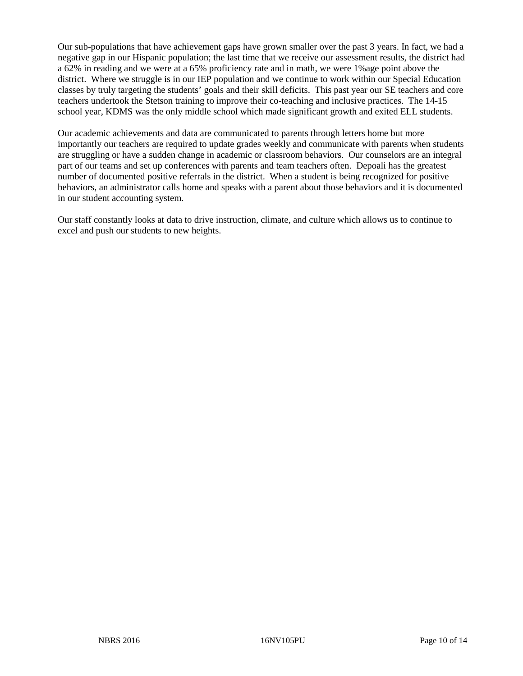Our sub-populations that have achievement gaps have grown smaller over the past 3 years. In fact, we had a negative gap in our Hispanic population; the last time that we receive our assessment results, the district had a 62% in reading and we were at a 65% proficiency rate and in math, we were 1%age point above the district. Where we struggle is in our IEP population and we continue to work within our Special Education classes by truly targeting the students' goals and their skill deficits. This past year our SE teachers and core teachers undertook the Stetson training to improve their co-teaching and inclusive practices. The 14-15 school year, KDMS was the only middle school which made significant growth and exited ELL students.

Our academic achievements and data are communicated to parents through letters home but more importantly our teachers are required to update grades weekly and communicate with parents when students are struggling or have a sudden change in academic or classroom behaviors. Our counselors are an integral part of our teams and set up conferences with parents and team teachers often. Depoali has the greatest number of documented positive referrals in the district. When a student is being recognized for positive behaviors, an administrator calls home and speaks with a parent about those behaviors and it is documented in our student accounting system.

Our staff constantly looks at data to drive instruction, climate, and culture which allows us to continue to excel and push our students to new heights.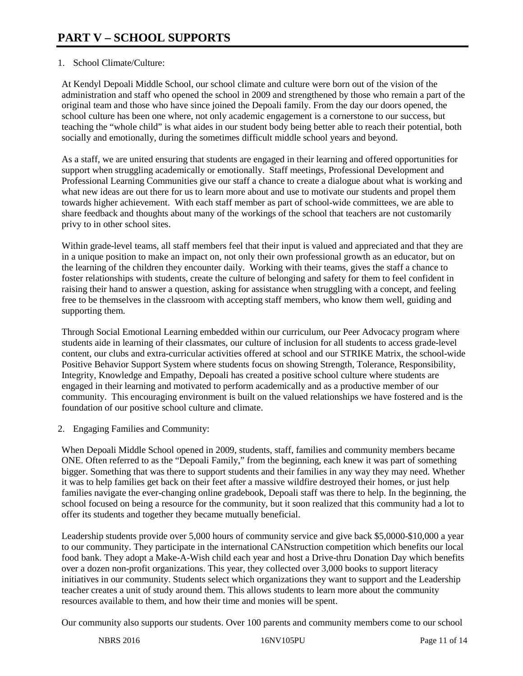## 1. School Climate/Culture:

At Kendyl Depoali Middle School, our school climate and culture were born out of the vision of the administration and staff who opened the school in 2009 and strengthened by those who remain a part of the original team and those who have since joined the Depoali family. From the day our doors opened, the school culture has been one where, not only academic engagement is a cornerstone to our success, but teaching the "whole child" is what aides in our student body being better able to reach their potential, both socially and emotionally, during the sometimes difficult middle school years and beyond.

As a staff, we are united ensuring that students are engaged in their learning and offered opportunities for support when struggling academically or emotionally. Staff meetings, Professional Development and Professional Learning Communities give our staff a chance to create a dialogue about what is working and what new ideas are out there for us to learn more about and use to motivate our students and propel them towards higher achievement. With each staff member as part of school-wide committees, we are able to share feedback and thoughts about many of the workings of the school that teachers are not customarily privy to in other school sites.

Within grade-level teams, all staff members feel that their input is valued and appreciated and that they are in a unique position to make an impact on, not only their own professional growth as an educator, but on the learning of the children they encounter daily. Working with their teams, gives the staff a chance to foster relationships with students, create the culture of belonging and safety for them to feel confident in raising their hand to answer a question, asking for assistance when struggling with a concept, and feeling free to be themselves in the classroom with accepting staff members, who know them well, guiding and supporting them.

Through Social Emotional Learning embedded within our curriculum, our Peer Advocacy program where students aide in learning of their classmates, our culture of inclusion for all students to access grade-level content, our clubs and extra-curricular activities offered at school and our STRIKE Matrix, the school-wide Positive Behavior Support System where students focus on showing Strength, Tolerance, Responsibility, Integrity, Knowledge and Empathy, Depoali has created a positive school culture where students are engaged in their learning and motivated to perform academically and as a productive member of our community. This encouraging environment is built on the valued relationships we have fostered and is the foundation of our positive school culture and climate.

2. Engaging Families and Community:

When Depoali Middle School opened in 2009, students, staff, families and community members became ONE. Often referred to as the "Depoali Family," from the beginning, each knew it was part of something bigger. Something that was there to support students and their families in any way they may need. Whether it was to help families get back on their feet after a massive wildfire destroyed their homes, or just help families navigate the ever-changing online gradebook, Depoali staff was there to help. In the beginning, the school focused on being a resource for the community, but it soon realized that this community had a lot to offer its students and together they became mutually beneficial.

Leadership students provide over 5,000 hours of community service and give back \$5,0000-\$10,000 a year to our community. They participate in the international CANstruction competition which benefits our local food bank. They adopt a Make-A-Wish child each year and host a Drive-thru Donation Day which benefits over a dozen non-profit organizations. This year, they collected over 3,000 books to support literacy initiatives in our community. Students select which organizations they want to support and the Leadership teacher creates a unit of study around them. This allows students to learn more about the community resources available to them, and how their time and monies will be spent.

Our community also supports our students. Over 100 parents and community members come to our school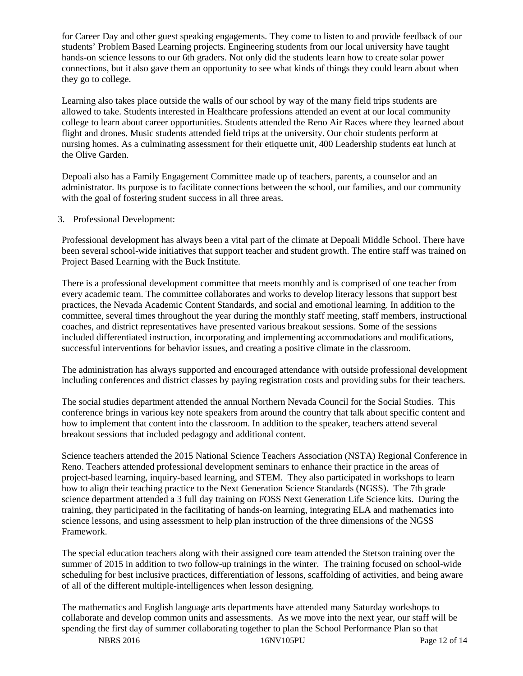for Career Day and other guest speaking engagements. They come to listen to and provide feedback of our students' Problem Based Learning projects. Engineering students from our local university have taught hands-on science lessons to our 6th graders. Not only did the students learn how to create solar power connections, but it also gave them an opportunity to see what kinds of things they could learn about when they go to college.

Learning also takes place outside the walls of our school by way of the many field trips students are allowed to take. Students interested in Healthcare professions attended an event at our local community college to learn about career opportunities. Students attended the Reno Air Races where they learned about flight and drones. Music students attended field trips at the university. Our choir students perform at nursing homes. As a culminating assessment for their etiquette unit, 400 Leadership students eat lunch at the Olive Garden.

Depoali also has a Family Engagement Committee made up of teachers, parents, a counselor and an administrator. Its purpose is to facilitate connections between the school, our families, and our community with the goal of fostering student success in all three areas.

#### 3. Professional Development:

Professional development has always been a vital part of the climate at Depoali Middle School. There have been several school-wide initiatives that support teacher and student growth. The entire staff was trained on Project Based Learning with the Buck Institute.

There is a professional development committee that meets monthly and is comprised of one teacher from every academic team. The committee collaborates and works to develop literacy lessons that support best practices, the Nevada Academic Content Standards, and social and emotional learning. In addition to the committee, several times throughout the year during the monthly staff meeting, staff members, instructional coaches, and district representatives have presented various breakout sessions. Some of the sessions included differentiated instruction, incorporating and implementing accommodations and modifications, successful interventions for behavior issues, and creating a positive climate in the classroom.

The administration has always supported and encouraged attendance with outside professional development including conferences and district classes by paying registration costs and providing subs for their teachers.

The social studies department attended the annual Northern Nevada Council for the Social Studies. This conference brings in various key note speakers from around the country that talk about specific content and how to implement that content into the classroom. In addition to the speaker, teachers attend several breakout sessions that included pedagogy and additional content.

Science teachers attended the 2015 National Science Teachers Association (NSTA) Regional Conference in Reno. Teachers attended professional development seminars to enhance their practice in the areas of project-based learning, inquiry-based learning, and STEM. They also participated in workshops to learn how to align their teaching practice to the Next Generation Science Standards (NGSS). The 7th grade science department attended a 3 full day training on FOSS Next Generation Life Science kits. During the training, they participated in the facilitating of hands-on learning, integrating ELA and mathematics into science lessons, and using assessment to help plan instruction of the three dimensions of the NGSS Framework.

The special education teachers along with their assigned core team attended the Stetson training over the summer of 2015 in addition to two follow-up trainings in the winter. The training focused on school-wide scheduling for best inclusive practices, differentiation of lessons, scaffolding of activities, and being aware of all of the different multiple-intelligences when lesson designing.

The mathematics and English language arts departments have attended many Saturday workshops to collaborate and develop common units and assessments. As we move into the next year, our staff will be spending the first day of summer collaborating together to plan the School Performance Plan so that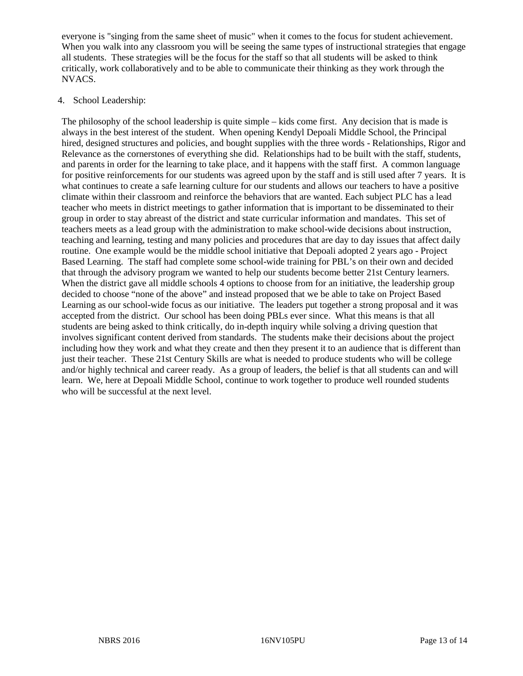everyone is "singing from the same sheet of music" when it comes to the focus for student achievement. When you walk into any classroom you will be seeing the same types of instructional strategies that engage all students. These strategies will be the focus for the staff so that all students will be asked to think critically, work collaboratively and to be able to communicate their thinking as they work through the NVACS.

#### 4. School Leadership:

The philosophy of the school leadership is quite simple – kids come first. Any decision that is made is always in the best interest of the student. When opening Kendyl Depoali Middle School, the Principal hired, designed structures and policies, and bought supplies with the three words - Relationships, Rigor and Relevance as the cornerstones of everything she did. Relationships had to be built with the staff, students, and parents in order for the learning to take place, and it happens with the staff first. A common language for positive reinforcements for our students was agreed upon by the staff and is still used after 7 years. It is what continues to create a safe learning culture for our students and allows our teachers to have a positive climate within their classroom and reinforce the behaviors that are wanted. Each subject PLC has a lead teacher who meets in district meetings to gather information that is important to be disseminated to their group in order to stay abreast of the district and state curricular information and mandates. This set of teachers meets as a lead group with the administration to make school-wide decisions about instruction, teaching and learning, testing and many policies and procedures that are day to day issues that affect daily routine. One example would be the middle school initiative that Depoali adopted 2 years ago - Project Based Learning. The staff had complete some school-wide training for PBL's on their own and decided that through the advisory program we wanted to help our students become better 21st Century learners. When the district gave all middle schools 4 options to choose from for an initiative, the leadership group decided to choose "none of the above" and instead proposed that we be able to take on Project Based Learning as our school-wide focus as our initiative. The leaders put together a strong proposal and it was accepted from the district. Our school has been doing PBLs ever since. What this means is that all students are being asked to think critically, do in-depth inquiry while solving a driving question that involves significant content derived from standards. The students make their decisions about the project including how they work and what they create and then they present it to an audience that is different than just their teacher. These 21st Century Skills are what is needed to produce students who will be college and/or highly technical and career ready. As a group of leaders, the belief is that all students can and will learn. We, here at Depoali Middle School, continue to work together to produce well rounded students who will be successful at the next level.